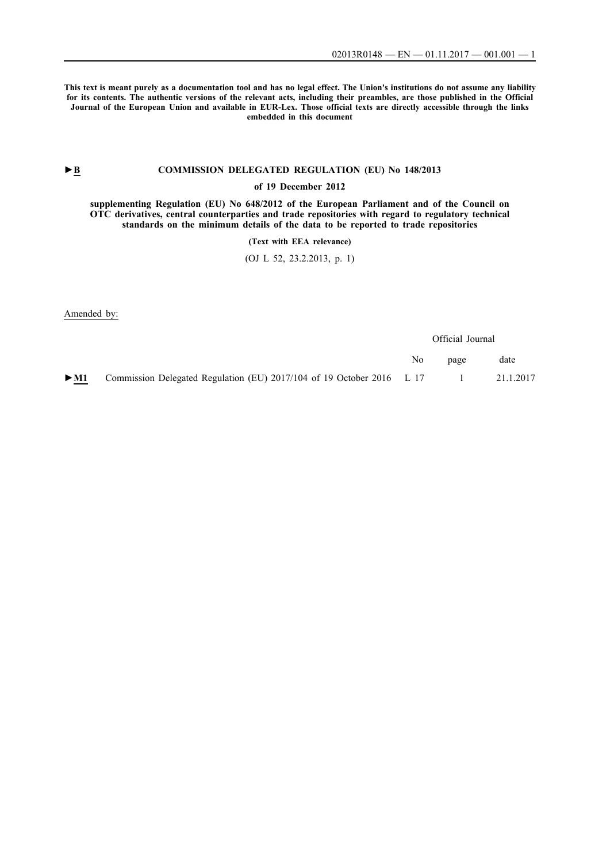**This text is meant purely as a documentation tool and has no legal effect. The Union's institutions do not assume any liability for its contents. The authentic versions of the relevant acts, including their preambles, are those published in the Official Journal of the European Union and available in EUR-Lex. Those official texts are directly accessible through the links embedded in this document**

# **►B [COMMISSION DELEGATED REGULATION \(EU\) No 148/2013](http://data.europa.eu/eli/reg_del/2013/148/oj/eng)**

## **[of 19 December 2012](http://data.europa.eu/eli/reg_del/2013/148/oj/eng)**

**[supplementing Regulation \(EU\) No 648/2012 of the European Parliament and of the Council on](http://data.europa.eu/eli/reg_del/2013/148/oj/eng) [OTC derivatives, central counterparties and trade repositories with regard to regulatory technical](http://data.europa.eu/eli/reg_del/2013/148/oj/eng) [standards on the minimum details of the data to be reported to trade repositories](http://data.europa.eu/eli/reg_del/2013/148/oj/eng)**

**[\(Text with EEA relevance\)](http://data.europa.eu/eli/reg_del/2013/148/oj/eng)**

[\(OJ L 52, 23.2.2013, p. 1\)](http://data.europa.eu/eli/reg_del/2013/148/oj/eng)

Amended by:

|                          |                                                                         |     | Official Journal             |           |
|--------------------------|-------------------------------------------------------------------------|-----|------------------------------|-----------|
|                          |                                                                         | No. | page                         | date      |
| $\blacktriangleright$ M1 | Commission Delegated Regulation (EU) $2017/104$ of 19 October 2016 L 17 |     | and the property of the con- | 21.1.2017 |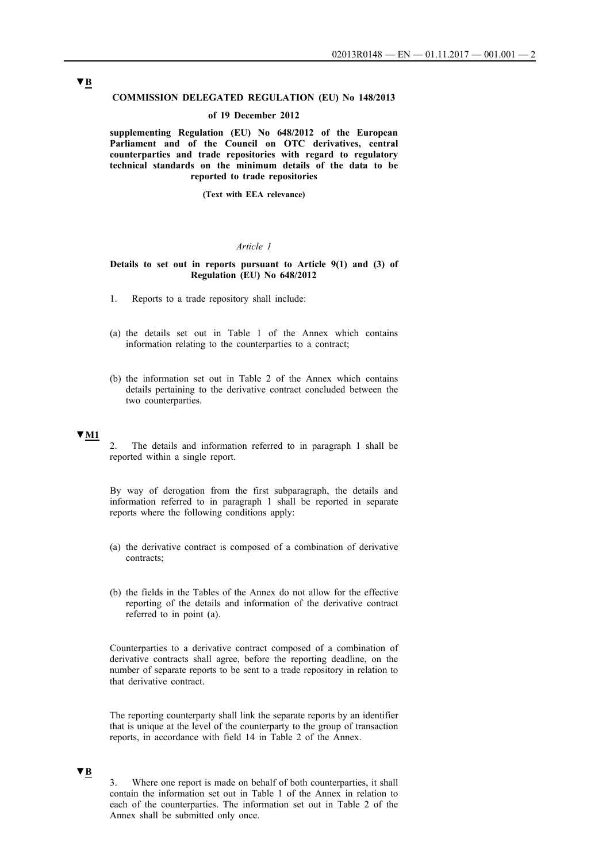#### **COMMISSION DELEGATED REGULATION (EU) No 148/2013**

### **of 19 December 2012**

**supplementing Regulation (EU) No 648/2012 of the European Parliament and of the Council on OTC derivatives, central counterparties and trade repositories with regard to regulatory technical standards on the minimum details of the data to be reported to trade repositories**

**(Text with EEA relevance)**

#### *Article 1*

### **Details to set out in reports pursuant to Article 9(1) and (3) of Regulation (EU) No 648/2012**

- 1. Reports to a trade repository shall include:
- (a) the details set out in Table 1 of the Annex which contains information relating to the counterparties to a contract;
- (b) the information set out in Table 2 of the Annex which contains details pertaining to the derivative contract concluded between the two counterparties.

## **▼M1**

2. The details and information referred to in paragraph 1 shall be reported within a single report.

By way of derogation from the first subparagraph, the details and information referred to in paragraph 1 shall be reported in separate reports where the following conditions apply:

- (a) the derivative contract is composed of a combination of derivative contracts;
- (b) the fields in the Tables of the Annex do not allow for the effective reporting of the details and information of the derivative contract referred to in point (a).

Counterparties to a derivative contract composed of a combination of derivative contracts shall agree, before the reporting deadline, on the number of separate reports to be sent to a trade repository in relation to that derivative contract.

The reporting counterparty shall link the separate reports by an identifier that is unique at the level of the counterparty to the group of transaction reports, in accordance with field 14 in Table 2 of the Annex.

## **▼B**

3. Where one report is made on behalf of both counterparties, it shall contain the information set out in Table 1 of the Annex in relation to each of the counterparties. The information set out in Table 2 of the Annex shall be submitted only once.

# **▼B**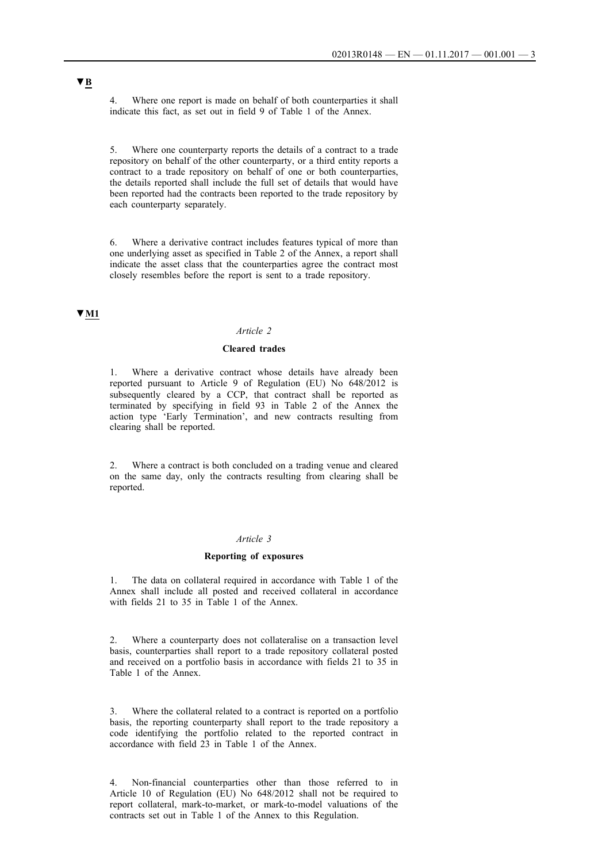4. Where one report is made on behalf of both counterparties it shall indicate this fact, as set out in field 9 of Table 1 of the Annex.

5. Where one counterparty reports the details of a contract to a trade repository on behalf of the other counterparty, or a third entity reports a contract to a trade repository on behalf of one or both counterparties, the details reported shall include the full set of details that would have been reported had the contracts been reported to the trade repository by each counterparty separately.

6. Where a derivative contract includes features typical of more than one underlying asset as specified in Table 2 of the Annex, a report shall indicate the asset class that the counterparties agree the contract most closely resembles before the report is sent to a trade repository.

# **▼M1**

## *Article 2*

## **Cleared trades**

Where a derivative contract whose details have already been reported pursuant to Article 9 of Regulation (EU) No 648/2012 is subsequently cleared by a CCP, that contract shall be reported as terminated by specifying in field 93 in Table 2 of the Annex the action type 'Early Termination', and new contracts resulting from clearing shall be reported.

2. Where a contract is both concluded on a trading venue and cleared on the same day, only the contracts resulting from clearing shall be reported.

#### *Article 3*

#### **Reporting of exposures**

1. The data on collateral required in accordance with Table 1 of the Annex shall include all posted and received collateral in accordance with fields 21 to 35 in Table 1 of the Annex.

2. Where a counterparty does not collateralise on a transaction level basis, counterparties shall report to a trade repository collateral posted and received on a portfolio basis in accordance with fields 21 to 35 in Table 1 of the Annex.

3. Where the collateral related to a contract is reported on a portfolio basis, the reporting counterparty shall report to the trade repository a code identifying the portfolio related to the reported contract in accordance with field 23 in Table 1 of the Annex.

4. Non-financial counterparties other than those referred to in Article 10 of Regulation (EU) No 648/2012 shall not be required to report collateral, mark-to-market, or mark-to-model valuations of the contracts set out in Table 1 of the Annex to this Regulation.

# **▼B**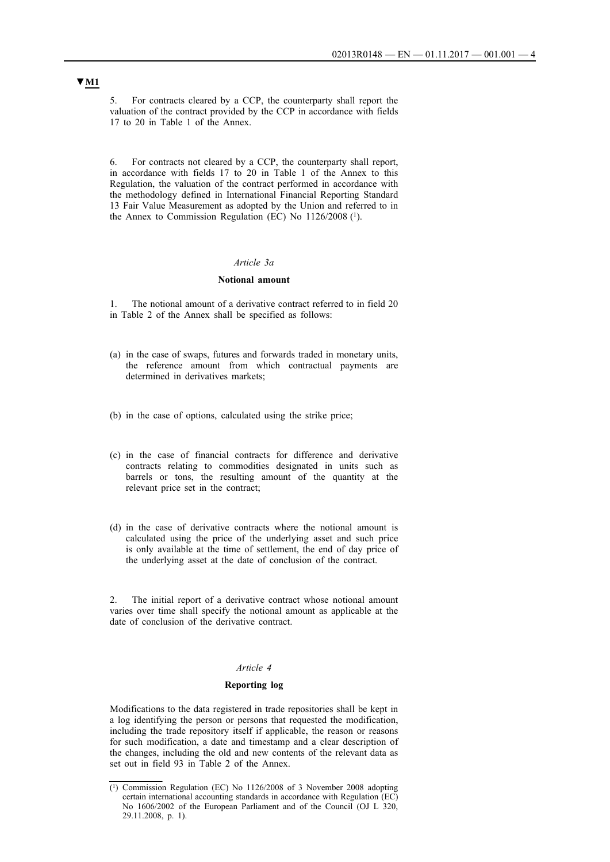5. For contracts cleared by a CCP, the counterparty shall report the valuation of the contract provided by the CCP in accordance with fields 17 to 20 in Table 1 of the Annex.

6. For contracts not cleared by a CCP, the counterparty shall report, in accordance with fields 17 to 20 in Table 1 of the Annex to this Regulation, the valuation of the contract performed in accordance with the methodology defined in International Financial Reporting Standard 13 Fair Value Measurement as adopted by the Union and referred to in the Annex to Commission Regulation (EC) No 1126/2008 (1).

## *Article 3a*

## **Notional amount**

1. The notional amount of a derivative contract referred to in field 20 in Table 2 of the Annex shall be specified as follows:

- (a) in the case of swaps, futures and forwards traded in monetary units, the reference amount from which contractual payments are determined in derivatives markets;
- (b) in the case of options, calculated using the strike price;
- (c) in the case of financial contracts for difference and derivative contracts relating to commodities designated in units such as barrels or tons, the resulting amount of the quantity at the relevant price set in the contract;
- (d) in the case of derivative contracts where the notional amount is calculated using the price of the underlying asset and such price is only available at the time of settlement, the end of day price of the underlying asset at the date of conclusion of the contract.

2. The initial report of a derivative contract whose notional amount varies over time shall specify the notional amount as applicable at the date of conclusion of the derivative contract.

## *Article 4*

#### **Reporting log**

Modifications to the data registered in trade repositories shall be kept in a log identifying the person or persons that requested the modification, including the trade repository itself if applicable, the reason or reasons for such modification, a date and timestamp and a clear description of the changes, including the old and new contents of the relevant data as set out in field 93 in Table 2 of the Annex.

<sup>(1)</sup> Commission Regulation (EC) No 1126/2008 of 3 November 2008 adopting certain international accounting standards in accordance with Regulation (EC) No 1606/2002 of the European Parliament and of the Council (OJ L 320, 29.11.2008, p. 1).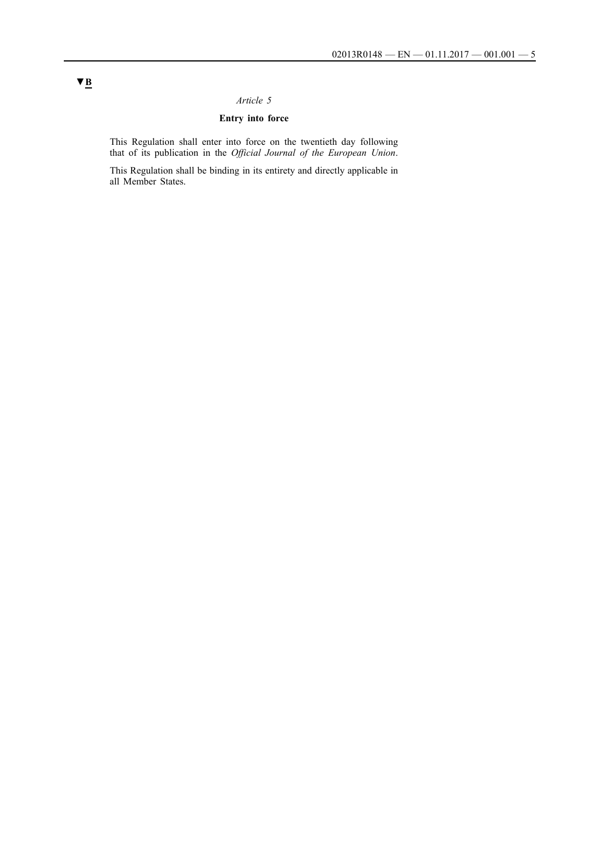# *Article 5*

# **Entry into force**

This Regulation shall enter into force on the twentieth day following that of its publication in the *Official Journal of the European Union*.

This Regulation shall be binding in its entirety and directly applicable in all Member States.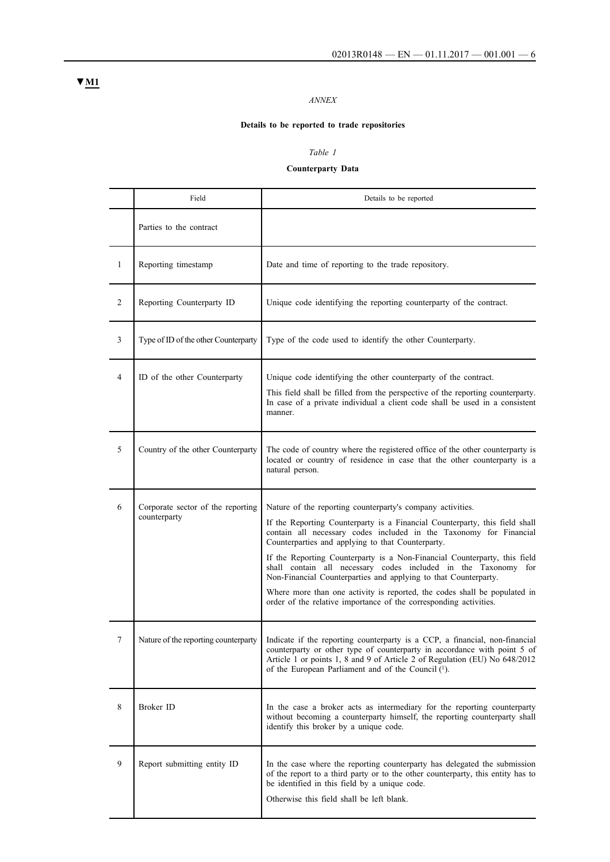# *ANNEX*

# **Details to be reported to trade repositories**

## *Table 1*

## **Counterparty Data**

|                | Field                                             | Details to be reported                                                                                                                                                                                                                                                                                                                                                                                                                                                                                                                                                                                                                   |
|----------------|---------------------------------------------------|------------------------------------------------------------------------------------------------------------------------------------------------------------------------------------------------------------------------------------------------------------------------------------------------------------------------------------------------------------------------------------------------------------------------------------------------------------------------------------------------------------------------------------------------------------------------------------------------------------------------------------------|
|                | Parties to the contract                           |                                                                                                                                                                                                                                                                                                                                                                                                                                                                                                                                                                                                                                          |
| 1              | Reporting timestamp                               | Date and time of reporting to the trade repository.                                                                                                                                                                                                                                                                                                                                                                                                                                                                                                                                                                                      |
| $\overline{c}$ | Reporting Counterparty ID                         | Unique code identifying the reporting counterparty of the contract.                                                                                                                                                                                                                                                                                                                                                                                                                                                                                                                                                                      |
| $\overline{3}$ | Type of ID of the other Counterparty              | Type of the code used to identify the other Counterparty.                                                                                                                                                                                                                                                                                                                                                                                                                                                                                                                                                                                |
| $\overline{4}$ | ID of the other Counterparty                      | Unique code identifying the other counterparty of the contract.<br>This field shall be filled from the perspective of the reporting counterparty.<br>In case of a private individual a client code shall be used in a consistent<br>manner.                                                                                                                                                                                                                                                                                                                                                                                              |
| 5              | Country of the other Counterparty                 | The code of country where the registered office of the other counterparty is<br>located or country of residence in case that the other counterparty is a<br>natural person.                                                                                                                                                                                                                                                                                                                                                                                                                                                              |
| 6              | Corporate sector of the reporting<br>counterparty | Nature of the reporting counterparty's company activities.<br>If the Reporting Counterparty is a Financial Counterparty, this field shall<br>contain all necessary codes included in the Taxonomy for Financial<br>Counterparties and applying to that Counterparty.<br>If the Reporting Counterparty is a Non-Financial Counterparty, this field<br>shall contain all necessary codes included in the Taxonomy for<br>Non-Financial Counterparties and applying to that Counterparty.<br>Where more than one activity is reported, the codes shall be populated in<br>order of the relative importance of the corresponding activities. |
| 7              | Nature of the reporting counterparty              | Indicate if the reporting counterparty is a CCP, a financial, non-financial<br>counterparty or other type of counterparty in accordance with point 5 of<br>Article 1 or points 1, 8 and 9 of Article 2 of Regulation (EU) No 648/2012<br>of the European Parliament and of the Council $(1)$ .                                                                                                                                                                                                                                                                                                                                           |
| 8              | Broker ID                                         | In the case a broker acts as intermediary for the reporting counterparty<br>without becoming a counterparty himself, the reporting counterparty shall<br>identify this broker by a unique code.                                                                                                                                                                                                                                                                                                                                                                                                                                          |
| 9              | Report submitting entity ID                       | In the case where the reporting counterparty has delegated the submission<br>of the report to a third party or to the other counterparty, this entity has to<br>be identified in this field by a unique code.<br>Otherwise this field shall be left blank.                                                                                                                                                                                                                                                                                                                                                                               |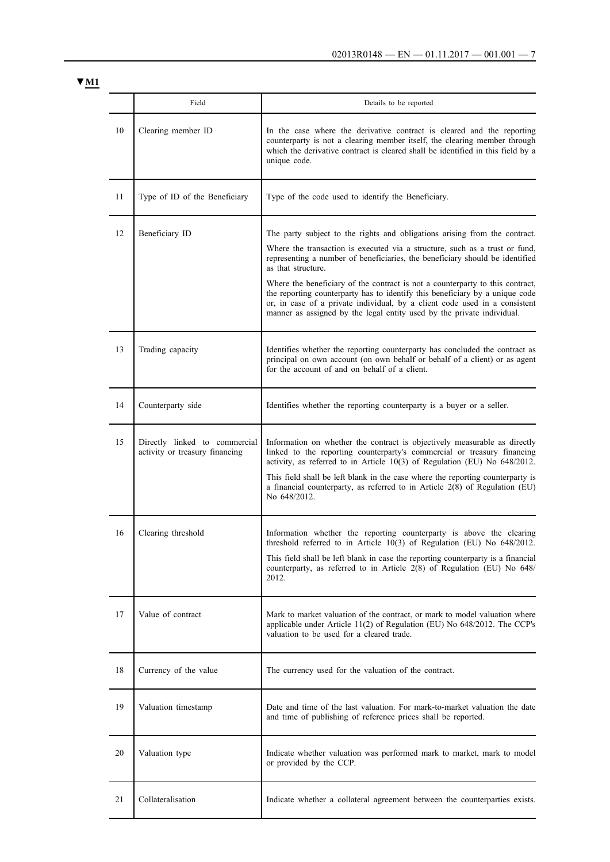|    | Field                                                           | Details to be reported                                                                                                                                                                                                                                                                                                                                                                                                                                                                                                                                                                   |
|----|-----------------------------------------------------------------|------------------------------------------------------------------------------------------------------------------------------------------------------------------------------------------------------------------------------------------------------------------------------------------------------------------------------------------------------------------------------------------------------------------------------------------------------------------------------------------------------------------------------------------------------------------------------------------|
| 10 | Clearing member ID                                              | In the case where the derivative contract is cleared and the reporting<br>counterparty is not a clearing member itself, the clearing member through<br>which the derivative contract is cleared shall be identified in this field by a<br>unique code.                                                                                                                                                                                                                                                                                                                                   |
| 11 | Type of ID of the Beneficiary                                   | Type of the code used to identify the Beneficiary.                                                                                                                                                                                                                                                                                                                                                                                                                                                                                                                                       |
| 12 | Beneficiary ID                                                  | The party subject to the rights and obligations arising from the contract.<br>Where the transaction is executed via a structure, such as a trust or fund,<br>representing a number of beneficiaries, the beneficiary should be identified<br>as that structure.<br>Where the beneficiary of the contract is not a counterparty to this contract,<br>the reporting counterparty has to identify this beneficiary by a unique code<br>or, in case of a private individual, by a client code used in a consistent<br>manner as assigned by the legal entity used by the private individual. |
| 13 | Trading capacity                                                | Identifies whether the reporting counterparty has concluded the contract as<br>principal on own account (on own behalf or behalf of a client) or as agent<br>for the account of and on behalf of a client.                                                                                                                                                                                                                                                                                                                                                                               |
| 14 | Counterparty side                                               | Identifies whether the reporting counterparty is a buyer or a seller.                                                                                                                                                                                                                                                                                                                                                                                                                                                                                                                    |
| 15 | Directly linked to commercial<br>activity or treasury financing | Information on whether the contract is objectively measurable as directly<br>linked to the reporting counterparty's commercial or treasury financing<br>activity, as referred to in Article 10(3) of Regulation (EU) No 648/2012.<br>This field shall be left blank in the case where the reporting counterparty is<br>a financial counterparty, as referred to in Article $2(8)$ of Regulation (EU)<br>No 648/2012.                                                                                                                                                                     |
| 16 | Clearing threshold                                              | Information whether the reporting counterparty is above the clearing<br>threshold referred to in Article 10(3) of Regulation (EU) No 648/2012.<br>This field shall be left blank in case the reporting counterparty is a financial<br>counterparty, as referred to in Article 2(8) of Regulation (EU) No 648/<br>2012.                                                                                                                                                                                                                                                                   |
| 17 | Value of contract                                               | Mark to market valuation of the contract, or mark to model valuation where<br>applicable under Article 11(2) of Regulation (EU) No 648/2012. The CCP's<br>valuation to be used for a cleared trade.                                                                                                                                                                                                                                                                                                                                                                                      |
| 18 | Currency of the value                                           | The currency used for the valuation of the contract.                                                                                                                                                                                                                                                                                                                                                                                                                                                                                                                                     |
| 19 | Valuation timestamp                                             | Date and time of the last valuation. For mark-to-market valuation the date<br>and time of publishing of reference prices shall be reported.                                                                                                                                                                                                                                                                                                                                                                                                                                              |
| 20 | Valuation type                                                  | Indicate whether valuation was performed mark to market, mark to model<br>or provided by the CCP.                                                                                                                                                                                                                                                                                                                                                                                                                                                                                        |
| 21 | Collateralisation                                               | Indicate whether a collateral agreement between the counterparties exists.                                                                                                                                                                                                                                                                                                                                                                                                                                                                                                               |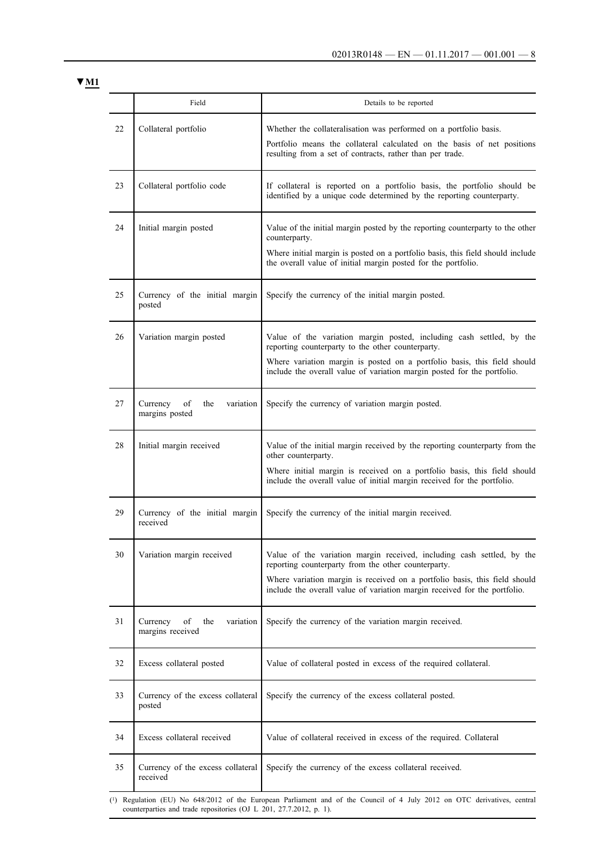|    | Field                                                  | Details to be reported                                                                                                                                                                                                                                                                   |
|----|--------------------------------------------------------|------------------------------------------------------------------------------------------------------------------------------------------------------------------------------------------------------------------------------------------------------------------------------------------|
| 22 | Collateral portfolio                                   | Whether the collateralisation was performed on a portfolio basis.<br>Portfolio means the collateral calculated on the basis of net positions<br>resulting from a set of contracts, rather than per trade.                                                                                |
| 23 | Collateral portfolio code                              | If collateral is reported on a portfolio basis, the portfolio should be<br>identified by a unique code determined by the reporting counterparty.                                                                                                                                         |
| 24 | Initial margin posted                                  | Value of the initial margin posted by the reporting counterparty to the other<br>counterparty.<br>Where initial margin is posted on a portfolio basis, this field should include<br>the overall value of initial margin posted for the portfolio.                                        |
| 25 | Currency of the initial margin<br>posted               | Specify the currency of the initial margin posted.                                                                                                                                                                                                                                       |
| 26 | Variation margin posted                                | Value of the variation margin posted, including cash settled, by the<br>reporting counterparty to the other counterparty.<br>Where variation margin is posted on a portfolio basis, this field should<br>include the overall value of variation margin posted for the portfolio.         |
| 27 | Currency<br>of<br>the<br>variation<br>margins posted   | Specify the currency of variation margin posted.                                                                                                                                                                                                                                         |
| 28 | Initial margin received                                | Value of the initial margin received by the reporting counterparty from the<br>other counterparty.<br>Where initial margin is received on a portfolio basis, this field should<br>include the overall value of initial margin received for the portfolio.                                |
| 29 | Currency of the initial margin<br>received             | Specify the currency of the initial margin received.                                                                                                                                                                                                                                     |
| 30 | Variation margin received                              | Value of the variation margin received, including cash settled, by the<br>reporting counterparty from the other counterparty.<br>Where variation margin is received on a portfolio basis, this field should<br>include the overall value of variation margin received for the portfolio. |
| 31 | of<br>the<br>Currency<br>variation<br>margins received | Specify the currency of the variation margin received.                                                                                                                                                                                                                                   |
| 32 | Excess collateral posted                               | Value of collateral posted in excess of the required collateral.                                                                                                                                                                                                                         |
| 33 | Currency of the excess collateral<br>posted            | Specify the currency of the excess collateral posted.                                                                                                                                                                                                                                    |
| 34 | Excess collateral received                             | Value of collateral received in excess of the required. Collateral                                                                                                                                                                                                                       |
| 35 | Currency of the excess collateral<br>received          | Specify the currency of the excess collateral received.                                                                                                                                                                                                                                  |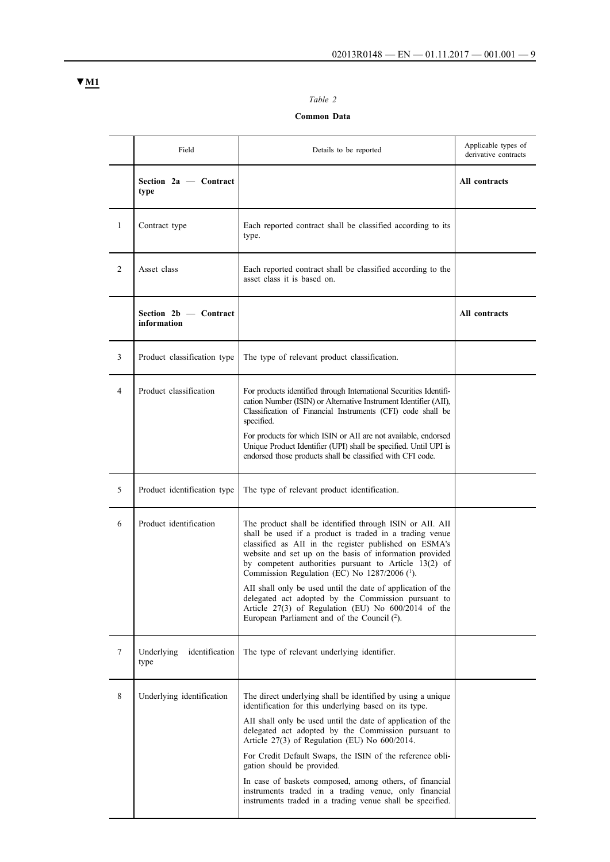# *Table 2*

## **Common Data**

|              | Field                                | Details to be reported                                                                                                                                                                                                                                                                                                                                                                                                                                                                                                                                                       | Applicable types of<br>derivative contracts |
|--------------|--------------------------------------|------------------------------------------------------------------------------------------------------------------------------------------------------------------------------------------------------------------------------------------------------------------------------------------------------------------------------------------------------------------------------------------------------------------------------------------------------------------------------------------------------------------------------------------------------------------------------|---------------------------------------------|
|              | Section 2a - Contract<br>type        |                                                                                                                                                                                                                                                                                                                                                                                                                                                                                                                                                                              | All contracts                               |
| $\mathbf{1}$ | Contract type                        | Each reported contract shall be classified according to its<br>type.                                                                                                                                                                                                                                                                                                                                                                                                                                                                                                         |                                             |
| 2            | Asset class                          | Each reported contract shall be classified according to the<br>asset class it is based on.                                                                                                                                                                                                                                                                                                                                                                                                                                                                                   |                                             |
|              | Section 2b - Contract<br>information |                                                                                                                                                                                                                                                                                                                                                                                                                                                                                                                                                                              | All contracts                               |
| 3            | Product classification type          | The type of relevant product classification.                                                                                                                                                                                                                                                                                                                                                                                                                                                                                                                                 |                                             |
| 4            | Product classification               | For products identified through International Securities Identifi-<br>cation Number (ISIN) or Alternative Instrument Identifier (AII),<br>Classification of Financial Instruments (CFI) code shall be<br>specified.<br>For products for which ISIN or AII are not available, endorsed<br>Unique Product Identifier (UPI) shall be specified. Until UPI is<br>endorsed those products shall be classified with CFI code.                                                                                                                                                      |                                             |
| 5            | Product identification type          | The type of relevant product identification.                                                                                                                                                                                                                                                                                                                                                                                                                                                                                                                                 |                                             |
| 6            | Product identification               | The product shall be identified through ISIN or AII. AII<br>shall be used if a product is traded in a trading venue<br>classified as AII in the register published on ESMA's<br>website and set up on the basis of information provided<br>by competent authorities pursuant to Article 13(2) of<br>Commission Regulation (EC) No 1287/2006 (1).<br>AII shall only be used until the date of application of the<br>delegated act adopted by the Commission pursuant to<br>Article 27(3) of Regulation (EU) No 600/2014 of the<br>European Parliament and of the Council (2). |                                             |
| 7            | Underlying<br>identification<br>type | The type of relevant underlying identifier.                                                                                                                                                                                                                                                                                                                                                                                                                                                                                                                                  |                                             |
| 8            | Underlying identification            | The direct underlying shall be identified by using a unique<br>identification for this underlying based on its type.<br>AII shall only be used until the date of application of the<br>delegated act adopted by the Commission pursuant to<br>Article $27(3)$ of Regulation (EU) No $600/2014$ .<br>For Credit Default Swaps, the ISIN of the reference obli-<br>gation should be provided.<br>In case of baskets composed, among others, of financial<br>instruments traded in a trading venue, only financial<br>instruments traded in a trading venue shall be specified. |                                             |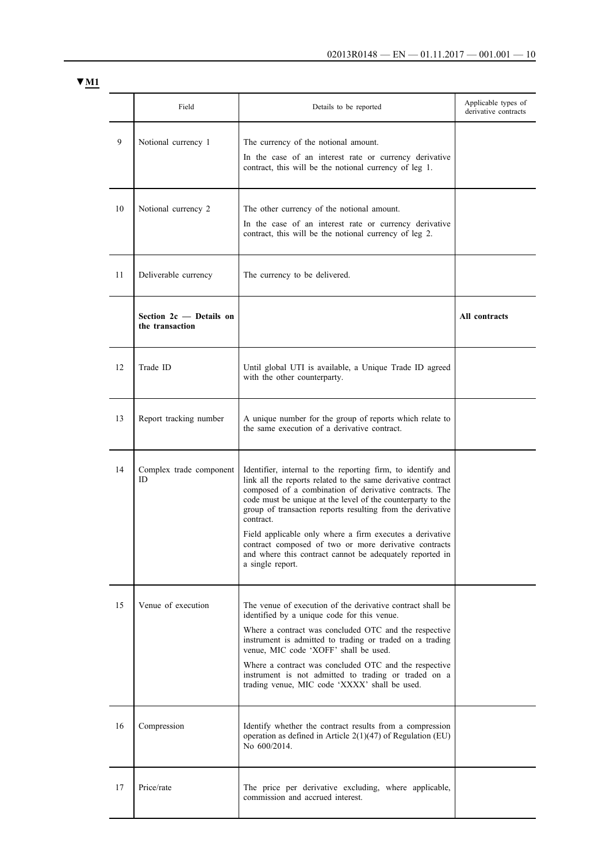|    | Field                                        | Details to be reported                                                                                                                                                                                                                                                                                                                                                                                                                                                                                                               | Applicable types of<br>derivative contracts |
|----|----------------------------------------------|--------------------------------------------------------------------------------------------------------------------------------------------------------------------------------------------------------------------------------------------------------------------------------------------------------------------------------------------------------------------------------------------------------------------------------------------------------------------------------------------------------------------------------------|---------------------------------------------|
| 9  | Notional currency 1                          | The currency of the notional amount.<br>In the case of an interest rate or currency derivative<br>contract, this will be the notional currency of leg 1.                                                                                                                                                                                                                                                                                                                                                                             |                                             |
| 10 | Notional currency 2                          | The other currency of the notional amount.<br>In the case of an interest rate or currency derivative<br>contract, this will be the notional currency of leg 2.                                                                                                                                                                                                                                                                                                                                                                       |                                             |
| 11 | Deliverable currency                         | The currency to be delivered.                                                                                                                                                                                                                                                                                                                                                                                                                                                                                                        |                                             |
|    | Section $2c$ — Details on<br>the transaction |                                                                                                                                                                                                                                                                                                                                                                                                                                                                                                                                      | All contracts                               |
| 12 | Trade ID                                     | Until global UTI is available, a Unique Trade ID agreed<br>with the other counterparty.                                                                                                                                                                                                                                                                                                                                                                                                                                              |                                             |
| 13 | Report tracking number                       | A unique number for the group of reports which relate to<br>the same execution of a derivative contract.                                                                                                                                                                                                                                                                                                                                                                                                                             |                                             |
| 14 | Complex trade component<br>ID                | Identifier, internal to the reporting firm, to identify and<br>link all the reports related to the same derivative contract<br>composed of a combination of derivative contracts. The<br>code must be unique at the level of the counterparty to the<br>group of transaction reports resulting from the derivative<br>contract.<br>Field applicable only where a firm executes a derivative<br>contract composed of two or more derivative contracts<br>and where this contract cannot be adequately reported in<br>a single report. |                                             |
| 15 | Venue of execution                           | The venue of execution of the derivative contract shall be<br>identified by a unique code for this venue.<br>Where a contract was concluded OTC and the respective<br>instrument is admitted to trading or traded on a trading<br>venue, MIC code 'XOFF' shall be used.<br>Where a contract was concluded OTC and the respective<br>instrument is not admitted to trading or traded on a<br>trading venue, MIC code 'XXXX' shall be used.                                                                                            |                                             |
| 16 | Compression                                  | Identify whether the contract results from a compression<br>operation as defined in Article $2(1)(47)$ of Regulation (EU)<br>No 600/2014.                                                                                                                                                                                                                                                                                                                                                                                            |                                             |
| 17 | Price/rate                                   | The price per derivative excluding, where applicable,<br>commission and accrued interest.                                                                                                                                                                                                                                                                                                                                                                                                                                            |                                             |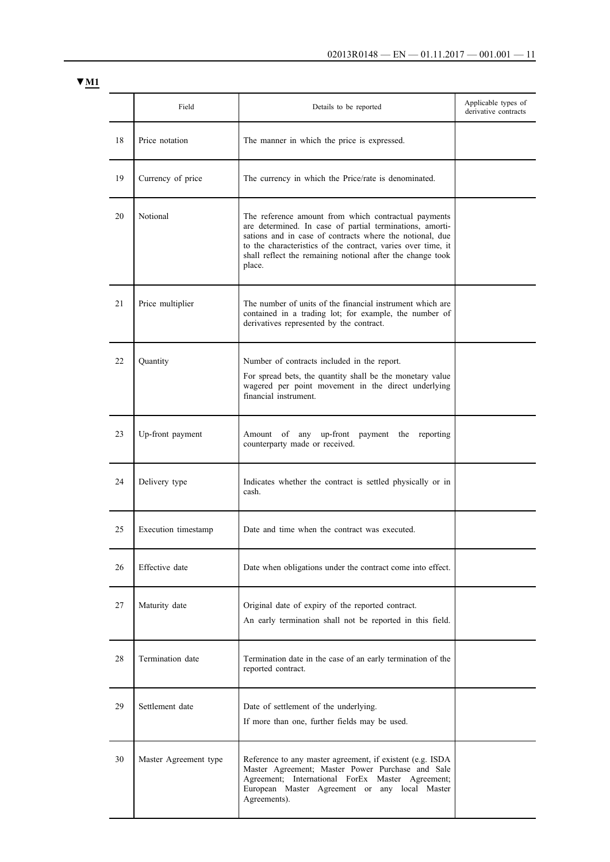|    | Field                 | Details to be reported                                                                                                                                                                                                                                                                                               | Applicable types of<br>derivative contracts |
|----|-----------------------|----------------------------------------------------------------------------------------------------------------------------------------------------------------------------------------------------------------------------------------------------------------------------------------------------------------------|---------------------------------------------|
| 18 | Price notation        | The manner in which the price is expressed.                                                                                                                                                                                                                                                                          |                                             |
| 19 | Currency of price     | The currency in which the Price/rate is denominated.                                                                                                                                                                                                                                                                 |                                             |
| 20 | Notional              | The reference amount from which contractual payments<br>are determined. In case of partial terminations, amorti-<br>sations and in case of contracts where the notional, due<br>to the characteristics of the contract, varies over time, it<br>shall reflect the remaining notional after the change took<br>place. |                                             |
| 21 | Price multiplier      | The number of units of the financial instrument which are<br>contained in a trading lot; for example, the number of<br>derivatives represented by the contract.                                                                                                                                                      |                                             |
| 22 | Quantity              | Number of contracts included in the report.<br>For spread bets, the quantity shall be the monetary value<br>wagered per point movement in the direct underlying<br>financial instrument.                                                                                                                             |                                             |
| 23 | Up-front payment      | Amount<br>of<br>any<br>up-front<br>payment the reporting<br>counterparty made or received.                                                                                                                                                                                                                           |                                             |
| 24 | Delivery type         | Indicates whether the contract is settled physically or in<br>cash.                                                                                                                                                                                                                                                  |                                             |
| 25 | Execution timestamp   | Date and time when the contract was executed.                                                                                                                                                                                                                                                                        |                                             |
| 26 | Effective date        | Date when obligations under the contract come into effect.                                                                                                                                                                                                                                                           |                                             |
| 27 | Maturity date         | Original date of expiry of the reported contract.<br>An early termination shall not be reported in this field.                                                                                                                                                                                                       |                                             |
| 28 | Termination date      | Termination date in the case of an early termination of the<br>reported contract.                                                                                                                                                                                                                                    |                                             |
| 29 | Settlement date       | Date of settlement of the underlying.<br>If more than one, further fields may be used.                                                                                                                                                                                                                               |                                             |
| 30 | Master Agreement type | Reference to any master agreement, if existent (e.g. ISDA<br>Master Agreement; Master Power Purchase and Sale<br>Agreement; International ForEx Master Agreement;<br>European Master Agreement or any local Master<br>Agreements).                                                                                   |                                             |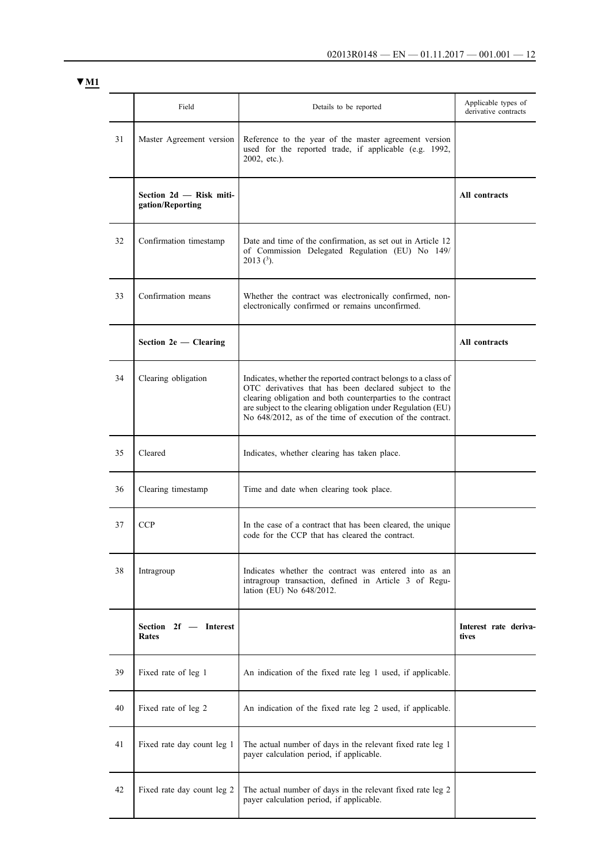|    | Field                                       | Details to be reported                                                                                                                                                                                                                                                                                              | Applicable types of<br>derivative contracts |
|----|---------------------------------------------|---------------------------------------------------------------------------------------------------------------------------------------------------------------------------------------------------------------------------------------------------------------------------------------------------------------------|---------------------------------------------|
| 31 | Master Agreement version                    | Reference to the year of the master agreement version<br>used for the reported trade, if applicable (e.g. 1992,<br>$2002$ , etc.).                                                                                                                                                                                  |                                             |
|    | Section 2d - Risk miti-<br>gation/Reporting |                                                                                                                                                                                                                                                                                                                     | All contracts                               |
| 32 | Confirmation timestamp                      | Date and time of the confirmation, as set out in Article 12<br>of Commission Delegated Regulation (EU) No 149/<br>$2013$ ( <sup>3</sup> ).                                                                                                                                                                          |                                             |
| 33 | Confirmation means                          | Whether the contract was electronically confirmed, non-<br>electronically confirmed or remains unconfirmed.                                                                                                                                                                                                         |                                             |
|    | Section $2e$ - Clearing                     |                                                                                                                                                                                                                                                                                                                     | All contracts                               |
| 34 | Clearing obligation                         | Indicates, whether the reported contract belongs to a class of<br>OTC derivatives that has been declared subject to the<br>clearing obligation and both counterparties to the contract<br>are subject to the clearing obligation under Regulation (EU)<br>No 648/2012, as of the time of execution of the contract. |                                             |
| 35 | Cleared                                     | Indicates, whether clearing has taken place.                                                                                                                                                                                                                                                                        |                                             |
| 36 | Clearing timestamp                          | Time and date when clearing took place.                                                                                                                                                                                                                                                                             |                                             |
| 37 | <b>CCP</b>                                  | In the case of a contract that has been cleared, the unique<br>code for the CCP that has cleared the contract.                                                                                                                                                                                                      |                                             |
| 38 | Intragroup                                  | Indicates whether the contract was entered into as an<br>intragroup transaction, defined in Article 3 of Regu-<br>lation (EU) No 648/2012.                                                                                                                                                                          |                                             |
|    | Section 2f - Interest<br><b>Rates</b>       |                                                                                                                                                                                                                                                                                                                     | Interest rate deriva-<br>tives              |
| 39 | Fixed rate of leg 1                         | An indication of the fixed rate leg 1 used, if applicable.                                                                                                                                                                                                                                                          |                                             |
| 40 | Fixed rate of leg 2                         | An indication of the fixed rate leg 2 used, if applicable.                                                                                                                                                                                                                                                          |                                             |
| 41 | Fixed rate day count leg 1                  | The actual number of days in the relevant fixed rate leg 1<br>payer calculation period, if applicable.                                                                                                                                                                                                              |                                             |
| 42 | Fixed rate day count leg 2                  | The actual number of days in the relevant fixed rate leg 2<br>payer calculation period, if applicable.                                                                                                                                                                                                              |                                             |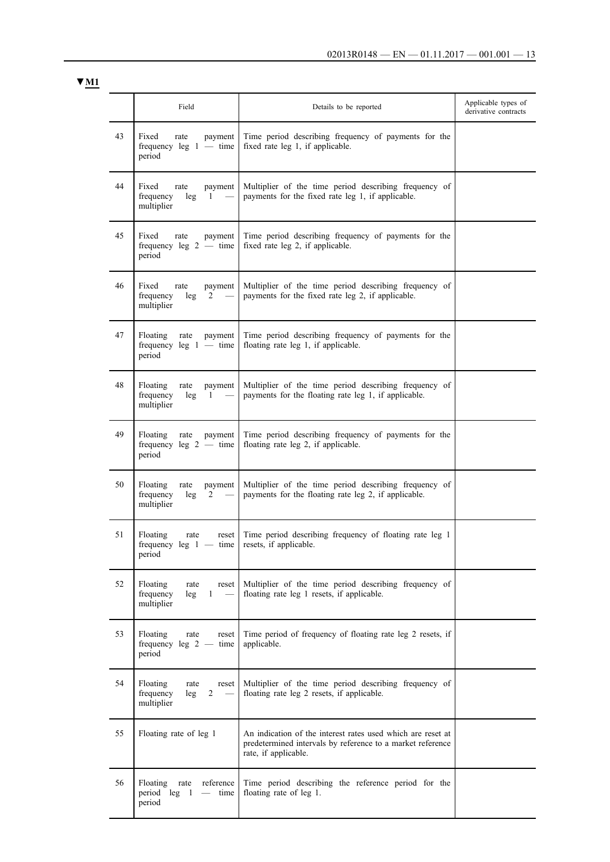|    | Field                                                                           | Details to be reported                                                                                                                            | Applicable types of<br>derivative contracts |
|----|---------------------------------------------------------------------------------|---------------------------------------------------------------------------------------------------------------------------------------------------|---------------------------------------------|
| 43 | Fixed<br>rate<br>payment<br>frequency $leg\ 1$ — time<br>period                 | Time period describing frequency of payments for the<br>fixed rate leg 1, if applicable.                                                          |                                             |
| 44 | Fixed<br>rate<br>payment<br>frequency<br>leg<br>1<br>multiplier                 | Multiplier of the time period describing frequency of<br>payments for the fixed rate leg 1, if applicable.                                        |                                             |
| 45 | Fixed<br>rate<br>payment<br>frequency $leg\ 2 - time$<br>period                 | Time period describing frequency of payments for the<br>fixed rate leg 2, if applicable.                                                          |                                             |
| 46 | Fixed<br>rate<br>payment<br>frequency<br>leg<br>2<br>multiplier                 | Multiplier of the time period describing frequency of<br>payments for the fixed rate leg 2, if applicable.                                        |                                             |
| 47 | Floating<br>payment<br>rate<br>frequency $leg\ 1$ — time<br>period              | Time period describing frequency of payments for the<br>floating rate leg 1, if applicable.                                                       |                                             |
| 48 | Floating<br>rate<br>payment<br>frequency<br>leg<br>1<br>multiplier              | Multiplier of the time period describing frequency of<br>payments for the floating rate leg 1, if applicable.                                     |                                             |
| 49 | Floating<br>rate<br>payment<br>frequency leg $2 -$ time<br>period               | Time period describing frequency of payments for the<br>floating rate leg 2, if applicable.                                                       |                                             |
| 50 | Floating<br>rate<br>payment<br>frequency<br>leg<br>$\overline{c}$<br>multiplier | Multiplier of the time period describing frequency of<br>payments for the floating rate leg 2, if applicable.                                     |                                             |
| 51 | Floating<br>rate<br>reset<br>frequency leg $1 -$<br>time  <br>period            | Time period describing frequency of floating rate leg 1<br>resets, if applicable.                                                                 |                                             |
| 52 | Floating<br>rate<br>reset<br>frequency<br>$\mathbf{1}$<br>leg<br>multiplier     | Multiplier of the time period describing frequency of<br>floating rate leg 1 resets, if applicable.                                               |                                             |
| 53 | Floating<br>rate<br>reset<br>frequency leg $2 -$ time<br>period                 | Time period of frequency of floating rate leg 2 resets, if<br>applicable.                                                                         |                                             |
| 54 | Floating<br>rate<br>reset<br>$\overline{c}$<br>frequency<br>leg<br>multiplier   | Multiplier of the time period describing frequency of<br>floating rate leg 2 resets, if applicable.                                               |                                             |
| 55 | Floating rate of leg 1                                                          | An indication of the interest rates used which are reset at<br>predetermined intervals by reference to a market reference<br>rate, if applicable. |                                             |
| 56 | Floating<br>rate<br>reference<br>period leg 1<br>$\equiv$<br>time<br>period     | Time period describing the reference period for the<br>floating rate of leg 1.                                                                    |                                             |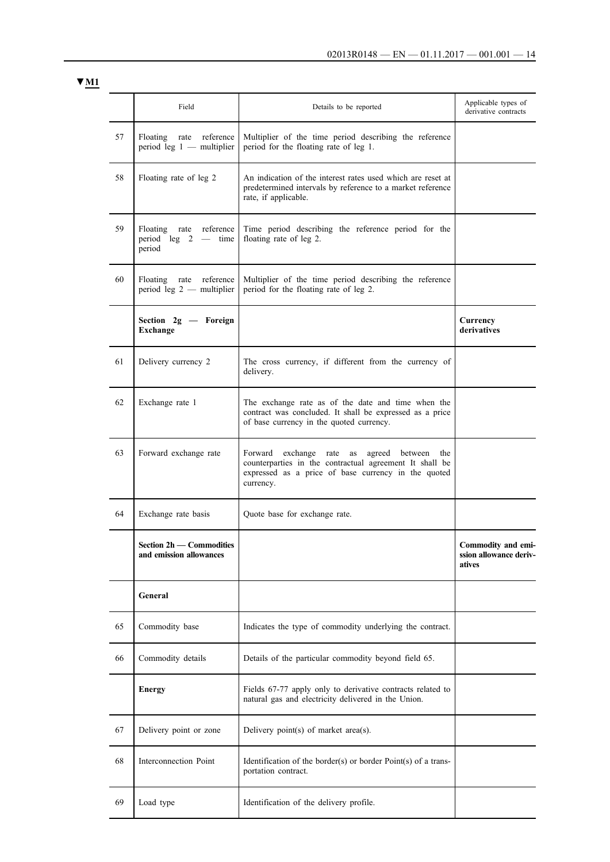|    | Field                                                             | Details to be reported                                                                                                                                                              | Applicable types of<br>derivative contracts            |
|----|-------------------------------------------------------------------|-------------------------------------------------------------------------------------------------------------------------------------------------------------------------------------|--------------------------------------------------------|
| 57 | Floating<br>reference<br>rate<br>period leg $1$ — multiplier      | Multiplier of the time period describing the reference<br>period for the floating rate of leg 1.                                                                                    |                                                        |
| 58 | Floating rate of leg 2                                            | An indication of the interest rates used which are reset at<br>predetermined intervals by reference to a market reference<br>rate, if applicable.                                   |                                                        |
| 59 | Floating rate reference<br>period leg $2 - \text{time}$<br>period | Time period describing the reference period for the<br>floating rate of leg 2.                                                                                                      |                                                        |
| 60 | Floating rate reference<br>period leg $2$ - multiplier            | Multiplier of the time period describing the reference<br>period for the floating rate of leg 2.                                                                                    |                                                        |
|    | Section 2g - Foreign<br><b>Exchange</b>                           |                                                                                                                                                                                     | Currency<br>derivatives                                |
| 61 | Delivery currency 2                                               | The cross currency, if different from the currency of<br>delivery.                                                                                                                  |                                                        |
| 62 | Exchange rate 1                                                   | The exchange rate as of the date and time when the<br>contract was concluded. It shall be expressed as a price<br>of base currency in the quoted currency.                          |                                                        |
| 63 | Forward exchange rate                                             | exchange rate<br>Forward<br>as agreed between<br>the<br>counterparties in the contractual agreement It shall be<br>expressed as a price of base currency in the quoted<br>currency. |                                                        |
| 64 | Exchange rate basis                                               | Quote base for exchange rate.                                                                                                                                                       |                                                        |
|    | Section 2h — Commodities<br>and emission allowances               |                                                                                                                                                                                     | Commodity and emi-<br>ssion allowance deriv-<br>atives |
|    | General                                                           |                                                                                                                                                                                     |                                                        |
| 65 | Commodity base                                                    | Indicates the type of commodity underlying the contract.                                                                                                                            |                                                        |
| 66 | Commodity details                                                 | Details of the particular commodity beyond field 65.                                                                                                                                |                                                        |
|    | <b>Energy</b>                                                     | Fields 67-77 apply only to derivative contracts related to<br>natural gas and electricity delivered in the Union.                                                                   |                                                        |
| 67 | Delivery point or zone                                            | Delivery point(s) of market area(s).                                                                                                                                                |                                                        |
| 68 | Interconnection Point                                             | Identification of the border(s) or border $Point(s)$ of a trans-<br>portation contract.                                                                                             |                                                        |
| 69 | Load type                                                         | Identification of the delivery profile.                                                                                                                                             |                                                        |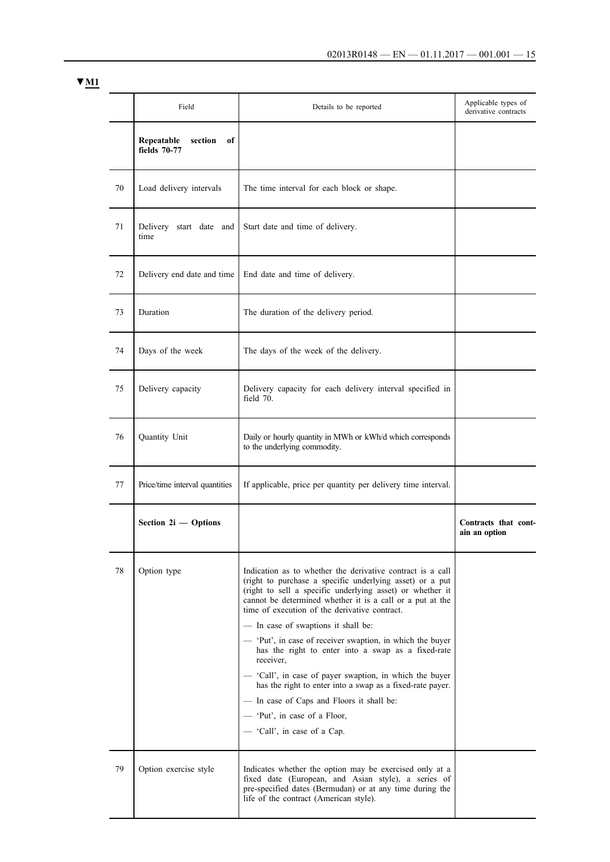|    | Field                                       | Details to be reported                                                                                                                                                                                                                                                                                                                                                                                                                                                                                                                                                                                                                                                                                       | Applicable types of<br>derivative contracts |
|----|---------------------------------------------|--------------------------------------------------------------------------------------------------------------------------------------------------------------------------------------------------------------------------------------------------------------------------------------------------------------------------------------------------------------------------------------------------------------------------------------------------------------------------------------------------------------------------------------------------------------------------------------------------------------------------------------------------------------------------------------------------------------|---------------------------------------------|
|    | Repeatable<br>section<br>of<br>fields 70-77 |                                                                                                                                                                                                                                                                                                                                                                                                                                                                                                                                                                                                                                                                                                              |                                             |
| 70 | Load delivery intervals                     | The time interval for each block or shape.                                                                                                                                                                                                                                                                                                                                                                                                                                                                                                                                                                                                                                                                   |                                             |
| 71 | Delivery start date and<br>time             | Start date and time of delivery.                                                                                                                                                                                                                                                                                                                                                                                                                                                                                                                                                                                                                                                                             |                                             |
| 72 | Delivery end date and time                  | End date and time of delivery.                                                                                                                                                                                                                                                                                                                                                                                                                                                                                                                                                                                                                                                                               |                                             |
| 73 | Duration                                    | The duration of the delivery period.                                                                                                                                                                                                                                                                                                                                                                                                                                                                                                                                                                                                                                                                         |                                             |
| 74 | Days of the week                            | The days of the week of the delivery.                                                                                                                                                                                                                                                                                                                                                                                                                                                                                                                                                                                                                                                                        |                                             |
| 75 | Delivery capacity                           | Delivery capacity for each delivery interval specified in<br>field 70.                                                                                                                                                                                                                                                                                                                                                                                                                                                                                                                                                                                                                                       |                                             |
| 76 | Quantity Unit                               | Daily or hourly quantity in MWh or kWh/d which corresponds<br>to the underlying commodity.                                                                                                                                                                                                                                                                                                                                                                                                                                                                                                                                                                                                                   |                                             |
| 77 | Price/time interval quantities              | If applicable, price per quantity per delivery time interval.                                                                                                                                                                                                                                                                                                                                                                                                                                                                                                                                                                                                                                                |                                             |
|    | Section 2i - Options                        |                                                                                                                                                                                                                                                                                                                                                                                                                                                                                                                                                                                                                                                                                                              | Contracts that cont-<br>ain an option       |
| 78 | Option type                                 | Indication as to whether the derivative contract is a call<br>(right to purchase a specific underlying asset) or a put<br>(right to sell a specific underlying asset) or whether it<br>cannot be determined whether it is a call or a put at the<br>time of execution of the derivative contract.<br>- In case of swaptions it shall be:<br>- 'Put', in case of receiver swaption, in which the buyer<br>has the right to enter into a swap as a fixed-rate<br>receiver,<br>- 'Call', in case of payer swaption, in which the buyer<br>has the right to enter into a swap as a fixed-rate payer.<br>- In case of Caps and Floors it shall be:<br>- 'Put', in case of a Floor,<br>- 'Call', in case of a Cap. |                                             |
| 79 | Option exercise style                       | Indicates whether the option may be exercised only at a<br>fixed date (European, and Asian style), a series of<br>pre-specified dates (Bermudan) or at any time during the<br>life of the contract (American style).                                                                                                                                                                                                                                                                                                                                                                                                                                                                                         |                                             |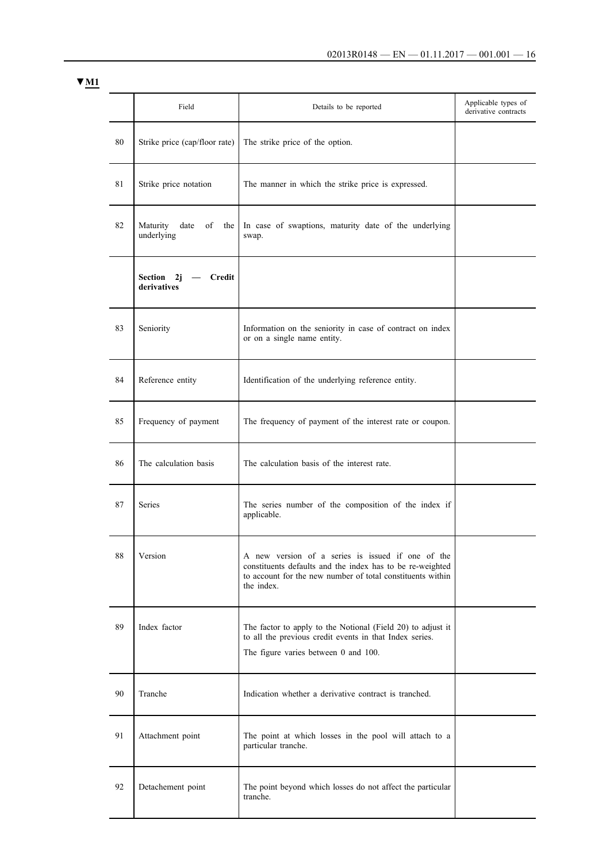|    | Field                                         | Details to be reported                                                                                                                                                                     | Applicable types of<br>derivative contracts |
|----|-----------------------------------------------|--------------------------------------------------------------------------------------------------------------------------------------------------------------------------------------------|---------------------------------------------|
| 80 | Strike price (cap/floor rate)                 | The strike price of the option.                                                                                                                                                            |                                             |
| 81 | Strike price notation                         | The manner in which the strike price is expressed.                                                                                                                                         |                                             |
| 82 | Maturity<br>date<br>of<br>the<br>underlying   | In case of swaptions, maturity date of the underlying<br>swap.                                                                                                                             |                                             |
|    | <b>Credit</b><br>Section<br>2j<br>derivatives |                                                                                                                                                                                            |                                             |
| 83 | Seniority                                     | Information on the seniority in case of contract on index<br>or on a single name entity.                                                                                                   |                                             |
| 84 | Reference entity                              | Identification of the underlying reference entity.                                                                                                                                         |                                             |
| 85 | Frequency of payment                          | The frequency of payment of the interest rate or coupon.                                                                                                                                   |                                             |
| 86 | The calculation basis                         | The calculation basis of the interest rate.                                                                                                                                                |                                             |
| 87 | Series                                        | The series number of the composition of the index if<br>applicable.                                                                                                                        |                                             |
| 88 | Version                                       | A new version of a series is issued if one of the<br>constituents defaults and the index has to be re-weighted<br>to account for the new number of total constituents within<br>the index. |                                             |
| 89 | Index factor                                  | The factor to apply to the Notional (Field 20) to adjust it<br>to all the previous credit events in that Index series.<br>The figure varies between 0 and 100.                             |                                             |
| 90 | Tranche                                       | Indication whether a derivative contract is tranched.                                                                                                                                      |                                             |
| 91 | Attachment point                              | The point at which losses in the pool will attach to a<br>particular tranche.                                                                                                              |                                             |
| 92 | Detachement point                             | The point beyond which losses do not affect the particular<br>tranche.                                                                                                                     |                                             |